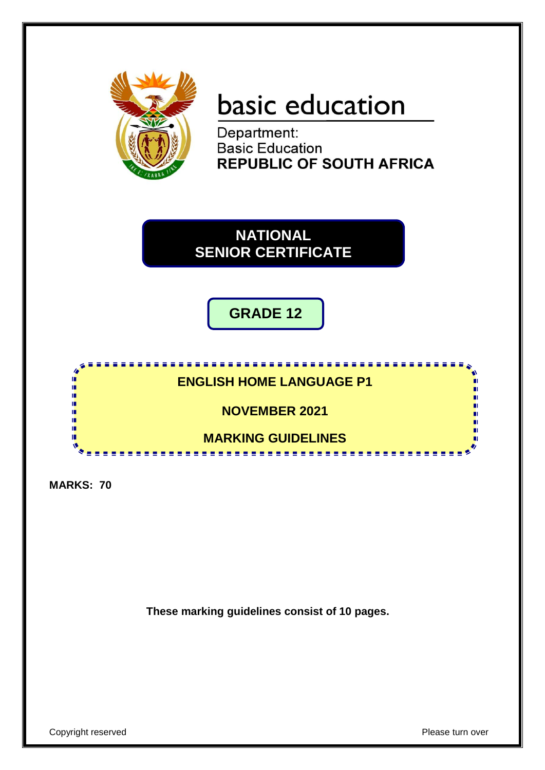

# basic education

Department: **Basic Education REPUBLIC OF SOUTH AFRICA** 

**NATIONAL SENIOR CERTIFICATE**

**GRADE 12**



**MARKS: 70**

**These marking guidelines consist of 10 pages.**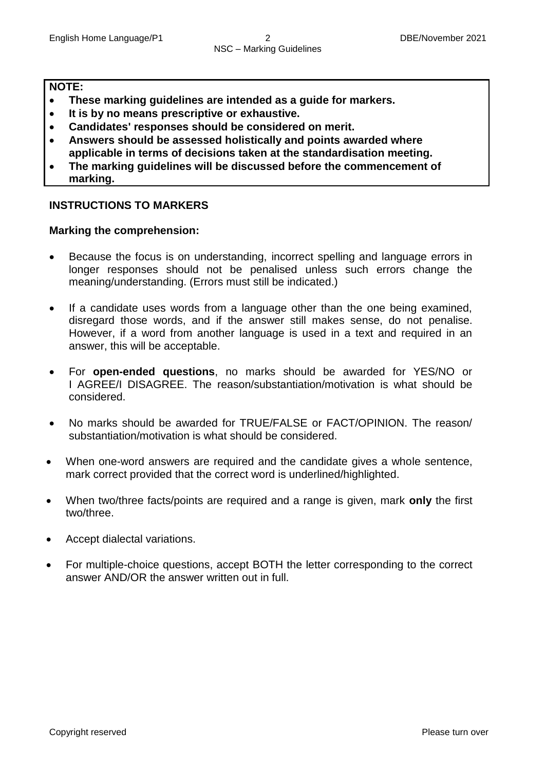#### **NOTE:**

- **These marking guidelines are intended as a guide for markers.**
- **It is by no means prescriptive or exhaustive.**
- **Candidates' responses should be considered on merit.**
- **Answers should be assessed holistically and points awarded where applicable in terms of decisions taken at the standardisation meeting.**
- **The marking guidelines will be discussed before the commencement of marking.**

## **INSTRUCTIONS TO MARKERS**

#### **Marking the comprehension:**

- Because the focus is on understanding, incorrect spelling and language errors in longer responses should not be penalised unless such errors change the meaning/understanding. (Errors must still be indicated.)
- If a candidate uses words from a language other than the one being examined, disregard those words, and if the answer still makes sense, do not penalise. However, if a word from another language is used in a text and required in an answer, this will be acceptable.
- For **open-ended questions**, no marks should be awarded for YES/NO or I AGREE/I DISAGREE. The reason/substantiation/motivation is what should be considered.
- No marks should be awarded for TRUE/FALSE or FACT/OPINION. The reason/ substantiation/motivation is what should be considered.
- When one-word answers are required and the candidate gives a whole sentence, mark correct provided that the correct word is underlined/highlighted.
- When two/three facts/points are required and a range is given, mark **only** the first two/three.
- Accept dialectal variations.
- For multiple-choice questions, accept BOTH the letter corresponding to the correct answer AND/OR the answer written out in full.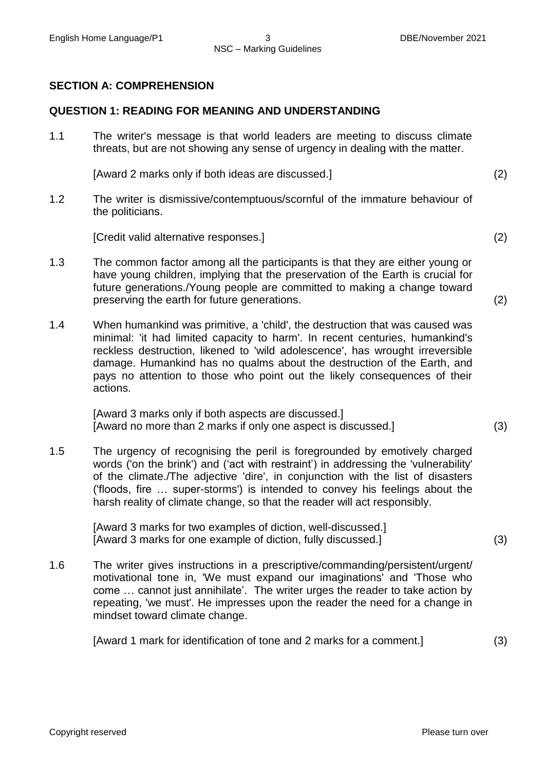#### **SECTION A: COMPREHENSION**

#### **QUESTION 1: READING FOR MEANING AND UNDERSTANDING**

1.1 The writer's message is that world leaders are meeting to discuss climate threats, but are not showing any sense of urgency in dealing with the matter.

[Award 2 marks only if both ideas are discussed.] (2)

1.2 The writer is dismissive/contemptuous/scornful of the immature behaviour of the politicians.

[Credit valid alternative responses.] (2)

- 1.3 The common factor among all the participants is that they are either young or have young children, implying that the preservation of the Earth is crucial for future generations./Young people are committed to making a change toward preserving the earth for future generations. (2)
- 1.4 When humankind was primitive, a 'child', the destruction that was caused was minimal: 'it had limited capacity to harm'. In recent centuries, humankind's reckless destruction, likened to 'wild adolescence', has wrought irreversible damage. Humankind has no qualms about the destruction of the Earth, and pays no attention to those who point out the likely consequences of their actions.

[Award 3 marks only if both aspects are discussed.] [Award no more than 2 marks if only one aspect is discussed.] (3)

1.5 The urgency of recognising the peril is foregrounded by emotively charged words ('on the brink') and ('act with restraint') in addressing the 'vulnerability' of the climate./The adjective 'dire', in conjunction with the list of disasters ('floods, fire … super-storms') is intended to convey his feelings about the harsh reality of climate change, so that the reader will act responsibly.

> [Award 3 marks for two examples of diction, well-discussed.] [Award 3 marks for one example of diction, fully discussed.] (3)

1.6 The writer gives instructions in a prescriptive/commanding/persistent/urgent/ motivational tone in, 'We must expand our imaginations' and 'Those who come … cannot just annihilate'. The writer urges the reader to take action by repeating, 'we must'. He impresses upon the reader the need for a change in mindset toward climate change.

[Award 1 mark for identification of tone and 2 marks for a comment.] (3)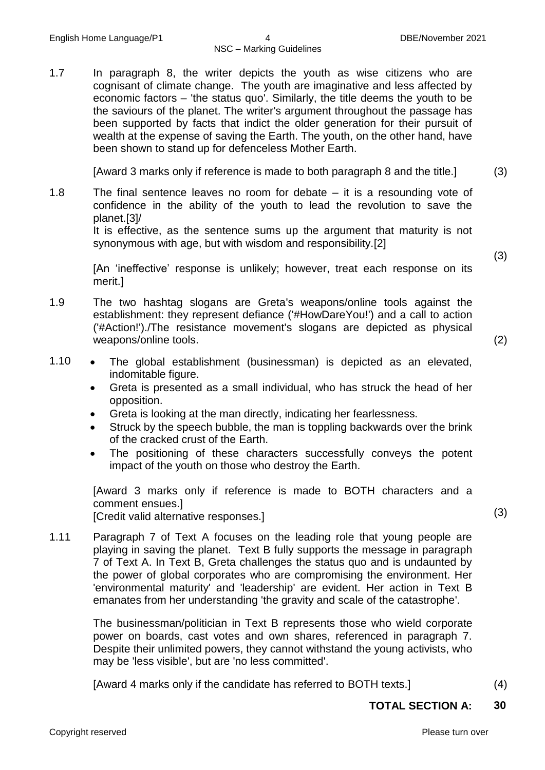1.7 In paragraph 8, the writer depicts the youth as wise citizens who are cognisant of climate change. The youth are imaginative and less affected by economic factors – 'the status quo'. Similarly, the title deems the youth to be the saviours of the planet. The writer's argument throughout the passage has been supported by facts that indict the older generation for their pursuit of wealth at the expense of saving the Earth. The youth, on the other hand, have been shown to stand up for defenceless Mother Earth.

[Award 3 marks only if reference is made to both paragraph 8 and the title.] (3)

1.8 The final sentence leaves no room for debate – it is a resounding vote of confidence in the ability of the youth to lead the revolution to save the planet.[3]/

It is effective, as the sentence sums up the argument that maturity is not synonymous with age, but with wisdom and responsibility.[2]

(3)

[An 'ineffective' response is unlikely; however, treat each response on its merit.]

- 1.9 The two hashtag slogans are Greta's weapons/online tools against the establishment: they represent defiance ('#HowDareYou!') and a call to action ('#Action!')./The resistance movement's slogans are depicted as physical weapons/online tools. (2)
- 1.10 The global establishment (businessman) is depicted as an elevated, indomitable figure.
	- Greta is presented as a small individual, who has struck the head of her opposition.
	- Greta is looking at the man directly, indicating her fearlessness.
	- Struck by the speech bubble, the man is toppling backwards over the brink of the cracked crust of the Earth.
	- The positioning of these characters successfully conveys the potent impact of the youth on those who destroy the Earth.

[Award 3 marks only if reference is made to BOTH characters and a comment ensues.] [Credit valid alternative responses.] (3)

1.11 Paragraph 7 of Text A focuses on the leading role that young people are playing in saving the planet. Text B fully supports the message in paragraph 7 of Text A. In Text B, Greta challenges the status quo and is undaunted by the power of global corporates who are compromising the environment. Her 'environmental maturity' and 'leadership' are evident. Her action in Text B emanates from her understanding 'the gravity and scale of the catastrophe'.

> The businessman/politician in Text B represents those who wield corporate power on boards, cast votes and own shares, referenced in paragraph 7. Despite their unlimited powers, they cannot withstand the young activists, who may be 'less visible', but are 'no less committed'.

[Award 4 marks only if the candidate has referred to BOTH texts.] (4)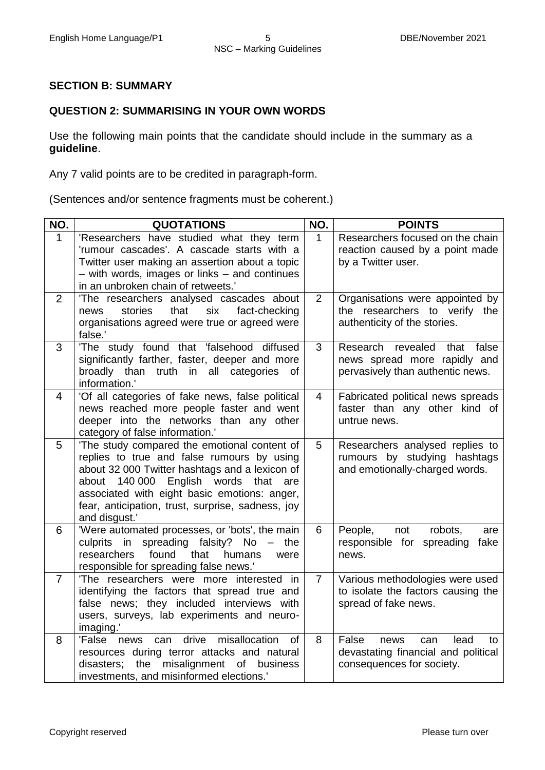## **SECTION B: SUMMARY**

#### **QUESTION 2: SUMMARISING IN YOUR OWN WORDS**

Use the following main points that the candidate should include in the summary as a **guideline**.

Any 7 valid points are to be credited in paragraph-form.

(Sentences and/or sentence fragments must be coherent.)

| NO.            | <b>QUOTATIONS</b>                                                                                                                                                                                                                                                                                                   | NO.            | <b>POINTS</b>                                                                                          |
|----------------|---------------------------------------------------------------------------------------------------------------------------------------------------------------------------------------------------------------------------------------------------------------------------------------------------------------------|----------------|--------------------------------------------------------------------------------------------------------|
| $\mathbf{1}$   | 'Researchers have studied what they term<br>'rumour cascades'. A cascade starts with a<br>Twitter user making an assertion about a topic<br>- with words, images or links - and continues<br>in an unbroken chain of retweets.'                                                                                     | $\mathbf{1}$   | Researchers focused on the chain<br>reaction caused by a point made<br>by a Twitter user.              |
| $\overline{2}$ | 'The researchers analysed cascades about<br>that<br>stories<br>six<br>fact-checking<br>news<br>organisations agreed were true or agreed were<br>false.'                                                                                                                                                             | 2              | Organisations were appointed by<br>the researchers to verify the<br>authenticity of the stories.       |
| 3              | 'The study found that 'falsehood diffused<br>significantly farther, faster, deeper and more<br>broadly than truth in all categories<br>of<br>information.'                                                                                                                                                          | 3              | Research<br>revealed that false<br>news spread more rapidly and<br>pervasively than authentic news.    |
| $\overline{4}$ | 'Of all categories of fake news, false political<br>news reached more people faster and went<br>deeper into the networks than any other<br>category of false information.'                                                                                                                                          | 4              | Fabricated political news spreads<br>faster than any other kind of<br>untrue news.                     |
| 5              | 'The study compared the emotional content of<br>replies to true and false rumours by using<br>about 32 000 Twitter hashtags and a lexicon of<br>about 140 000<br>English words<br>that<br>are<br>associated with eight basic emotions: anger,<br>fear, anticipation, trust, surprise, sadness, joy<br>and disgust.' | 5              | Researchers analysed replies to<br>rumours by studying hashtags<br>and emotionally-charged words.      |
| 6              | 'Were automated processes, or 'bots', the main<br>in spreading falsity? No $-$<br>culprits<br>the<br>found<br>researchers<br>that<br>humans<br>were<br>responsible for spreading false news.'                                                                                                                       | 6              | People,<br>not<br>robots,<br>are<br>responsible for spreading<br>fake<br>news.                         |
| $\overline{7}$ | 'The researchers were more interested in<br>identifying the factors that spread true and<br>false news; they included interviews with<br>users, surveys, lab experiments and neuro-<br>imaging.'                                                                                                                    | $\overline{7}$ | Various methodologies were used<br>to isolate the factors causing the<br>spread of fake news.          |
| 8              | drive<br>misallocation<br>'False<br>of<br>can<br>news<br>resources during terror attacks and natural<br>misalignment of business<br>disasters;<br>the<br>investments, and misinformed elections.'                                                                                                                   | 8              | False<br>lead<br>news<br>can<br>to<br>devastating financial and political<br>consequences for society. |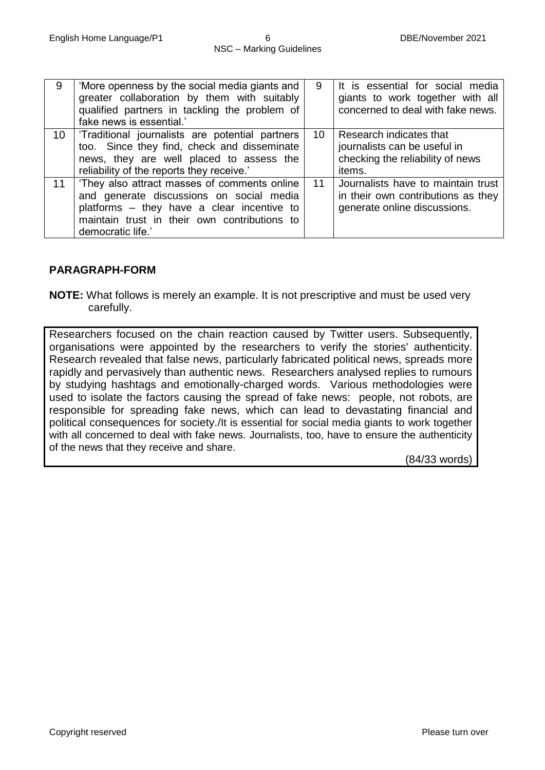| 9  | 'More openness by the social media giants and<br>greater collaboration by them with suitably<br>qualified partners in tackling the problem of<br>fake news is essential.'                                   | 9  | It is essential for social media<br>giants to work together with all<br>concerned to deal with fake news. |
|----|-------------------------------------------------------------------------------------------------------------------------------------------------------------------------------------------------------------|----|-----------------------------------------------------------------------------------------------------------|
| 10 | Traditional journalists are potential partners<br>too. Since they find, check and disseminate<br>news, they are well placed to assess the<br>reliability of the reports they receive.'                      | 10 | Research indicates that<br>journalists can be useful in<br>checking the reliability of news<br>items.     |
| 11 | 'They also attract masses of comments online<br>and generate discussions on social media<br>platforms – they have a clear incentive to<br>maintain trust in their own contributions to<br>democratic life.' | 11 | Journalists have to maintain trust<br>in their own contributions as they<br>generate online discussions.  |

#### **PARAGRAPH-FORM**

**NOTE:** What follows is merely an example. It is not prescriptive and must be used very carefully.

Researchers focused on the chain reaction caused by Twitter users. Subsequently, organisations were appointed by the researchers to verify the stories' authenticity. Research revealed that false news, particularly fabricated political news, spreads more rapidly and pervasively than authentic news. Researchers analysed replies to rumours by studying hashtags and emotionally-charged words. Various methodologies were used to isolate the factors causing the spread of fake news: people, not robots, are responsible for spreading fake news, which can lead to devastating financial and political consequences for society./It is essential for social media giants to work together with all concerned to deal with fake news. Journalists, too, have to ensure the authenticity of the news that they receive and share.

(84/33 words)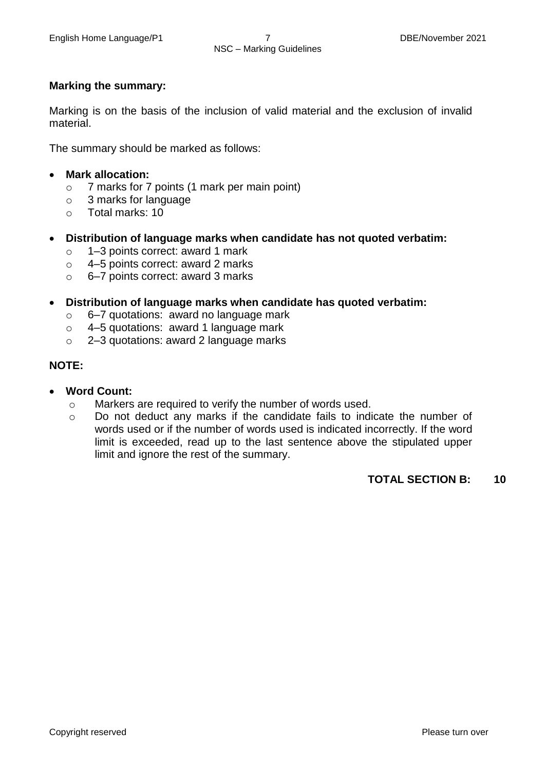#### **Marking the summary:**

Marking is on the basis of the inclusion of valid material and the exclusion of invalid material.

The summary should be marked as follows:

- **Mark allocation:**
	- o 7 marks for 7 points (1 mark per main point)
	- o 3 marks for language
	- o Total marks: 10
- **Distribution of language marks when candidate has not quoted verbatim:**
	- o 1–3 points correct: award 1 mark
	- o 4–5 points correct: award 2 marks
	- o 6–7 points correct: award 3 marks
- **Distribution of language marks when candidate has quoted verbatim:**
	- o 6–7 quotations: award no language mark
	- o 4–5 quotations: award 1 language mark
	- o 2–3 quotations: award 2 language marks

## **NOTE:**

- **Word Count:**
	- o Markers are required to verify the number of words used.
	- o Do not deduct any marks if the candidate fails to indicate the number of words used or if the number of words used is indicated incorrectly. If the word limit is exceeded, read up to the last sentence above the stipulated upper limit and ignore the rest of the summary.

#### **TOTAL SECTION B: 10**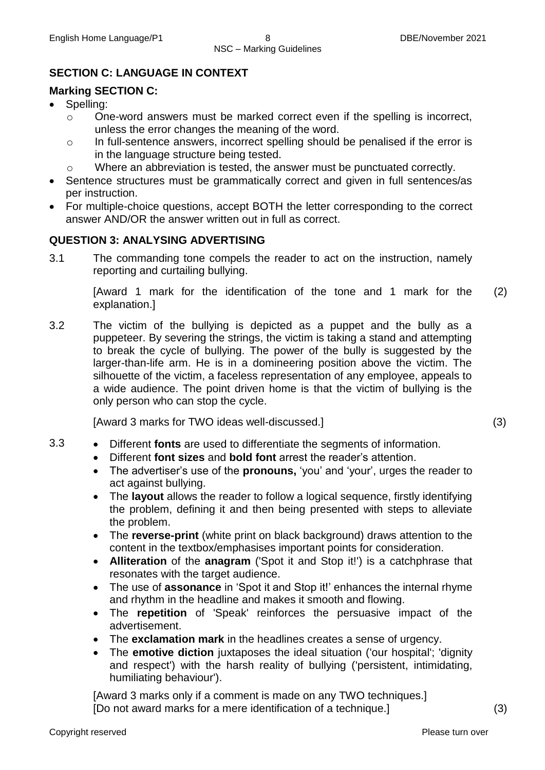# **SECTION C: LANGUAGE IN CONTEXT**

## **Marking SECTION C:**

- Spelling:
	- o One-word answers must be marked correct even if the spelling is incorrect, unless the error changes the meaning of the word.
	- o In full-sentence answers, incorrect spelling should be penalised if the error is in the language structure being tested.
	- o Where an abbreviation is tested, the answer must be punctuated correctly.
- Sentence structures must be grammatically correct and given in full sentences/as per instruction.
- For multiple-choice questions, accept BOTH the letter corresponding to the correct answer AND/OR the answer written out in full as correct.

## **QUESTION 3: ANALYSING ADVERTISING**

3.1 The commanding tone compels the reader to act on the instruction, namely reporting and curtailing bullying.

> [Award 1 mark for the identification of the tone and 1 mark for the explanation.] (2)

3.2 The victim of the bullying is depicted as a puppet and the bully as a puppeteer. By severing the strings, the victim is taking a stand and attempting to break the cycle of bullying. The power of the bully is suggested by the larger-than-life arm. He is in a domineering position above the victim. The silhouette of the victim, a faceless representation of any employee, appeals to a wide audience. The point driven home is that the victim of bullying is the only person who can stop the cycle.

[Award 3 marks for TWO ideas well-discussed.] (3)

- 3.3 Different **fonts** are used to differentiate the segments of information.
	- Different **font sizes** and **bold font** arrest the reader's attention.
	- The advertiser's use of the **pronouns,** 'you' and 'your', urges the reader to act against bullying.
	- The **layout** allows the reader to follow a logical sequence, firstly identifying the problem, defining it and then being presented with steps to alleviate the problem.
	- The **reverse-print** (white print on black background) draws attention to the content in the textbox/emphasises important points for consideration.
	- **Alliteration** of the **anagram** ('Spot it and Stop it!') is a catchphrase that resonates with the target audience.
	- The use of **assonance** in 'Spot it and Stop it!' enhances the internal rhyme and rhythm in the headline and makes it smooth and flowing.
	- The **repetition** of 'Speak' reinforces the persuasive impact of the advertisement.
	- The **exclamation mark** in the headlines creates a sense of urgency.
	- The **emotive diction** juxtaposes the ideal situation ('our hospital'; 'dignity and respect') with the harsh reality of bullying ('persistent, intimidating, humiliating behaviour').

[Award 3 marks only if a comment is made on any TWO techniques.] [Do not award marks for a mere identification of a technique.] (3)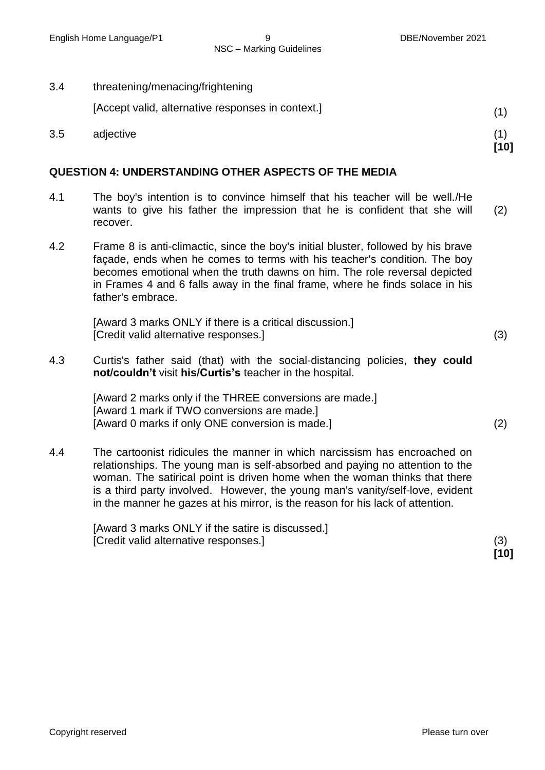NSC – Marking Guidelines

3.4 threatening/menacing/frightening

[Accept valid, alternative responses in context.] (1)

3.5 adjective (1)

#### **QUESTION 4: UNDERSTANDING OTHER ASPECTS OF THE MEDIA**

- 4.1 The boy's intention is to convince himself that his teacher will be well./He wants to give his father the impression that he is confident that she will recover. (2)
- 4.2 Frame 8 is anti-climactic, since the boy's initial bluster, followed by his brave façade, ends when he comes to terms with his teacher's condition. The boy becomes emotional when the truth dawns on him. The role reversal depicted in Frames 4 and 6 falls away in the final frame, where he finds solace in his father's embrace.

[Award 3 marks ONLY if there is a critical discussion.] [Credit valid alternative responses.] (3)

4.3 Curtis's father said (that) with the social-distancing policies, **they could not/couldn't** visit **his/Curtis's** teacher in the hospital.

> [Award 2 marks only if the THREE conversions are made.] [Award 1 mark if TWO conversions are made.] [Award 0 marks if only ONE conversion is made.] (2)

4.4 The cartoonist ridicules the manner in which narcissism has encroached on relationships. The young man is self-absorbed and paying no attention to the woman. The satirical point is driven home when the woman thinks that there is a third party involved. However, the young man's vanity/self-love, evident in the manner he gazes at his mirror, is the reason for his lack of attention.

> [Award 3 marks ONLY if the satire is discussed.] [Credit valid alternative responses.] (3)

**[10]**

**[10]**